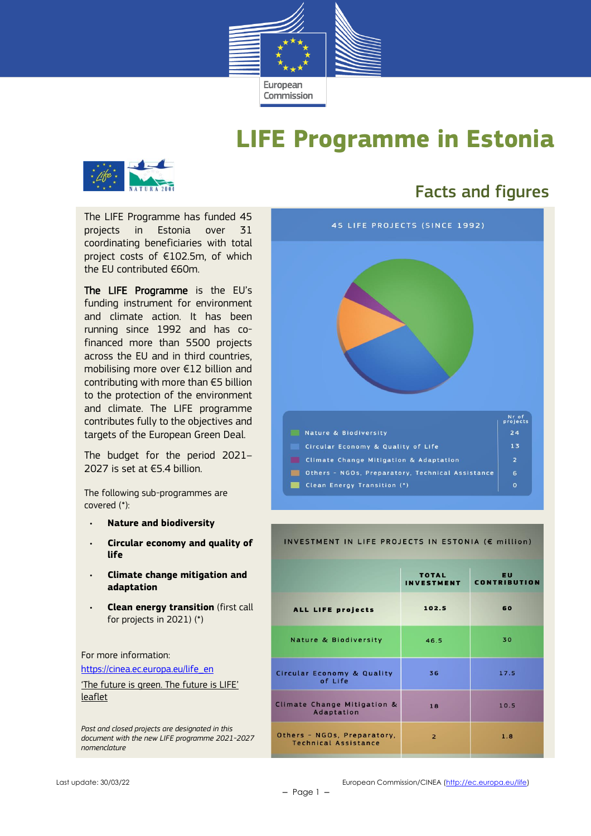

## **LIFE Programme in Estonia**



## Facts and figures

The LIFE Programme has funded 45 projects in Estonia over 31 coordinating beneficiaries with total project costs of €102.5m, of which the EU contributed €60m.

The LIFE Programme is the EU's funding instrument for environment and climate action. It has been running since 1992 and has cofinanced more than 5500 projects across the EU and in third countries, mobilising more over €12 billion and contributing with more than €5 billion to the protection of the environment and climate. The LIFE programme contributes fully to the objectives and targets of the European Green Deal.

The budget for the period 2021– 2027 is set at €5.4 billion.

The following sub-programmes are covered (\*):

- **Nature and biodiversity**
- **Circular economy and quality of life**
- **Climate change mitigation and adaptation**
- **Clean energy transition** (first call for projects in 2021) (\*)

For more information:

[https://cinea.ec.europa.eu/life\\_en](https://cinea.ec.europa.eu/life_en)

['The future is green. The future is LIFE'](https://cinea.ec.europa.eu/publications/future-green-future-life-leaflet_en)  [leaflet](https://cinea.ec.europa.eu/publications/future-green-future-life-leaflet_en)

*Past and closed projects are designated in this document with the new LIFE programme 2021-2027 nomenclature*



#### INVESTMENT IN LIFE PROJECTS IN ESTONIA (€ million)

|                                                            | <b>TOTAL</b><br><b>INVESTMENT</b> | <b>EU</b><br><b>CONTRIBUTION</b> |  |
|------------------------------------------------------------|-----------------------------------|----------------------------------|--|
| ALL LIFE projects                                          | 102.5                             | 60                               |  |
| <b>Nature &amp; Biodiversity</b>                           | 46.5                              | 30                               |  |
| <b>Circular Economy &amp; Quality</b><br>of Life           | 36                                | 17.5                             |  |
| Climate Change Mitigation &<br>Adaptation                  | 18                                | 10.5                             |  |
| Others - NGOs, Preparatory,<br><b>Technical Assistance</b> | $\overline{2}$                    | 1.8                              |  |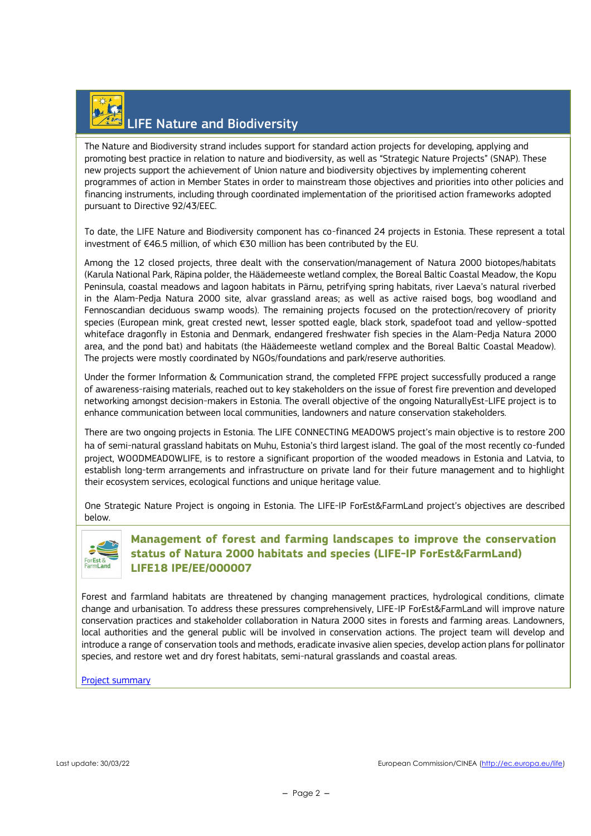# LIFE Nature and Biodiversity

The Nature and Biodiversity strand includes support for standard action projects for developing, applying and promoting best practice in relation to nature and biodiversity, as well as "Strategic Nature Projects" (SNAP). These new projects support the achievement of Union nature and biodiversity objectives by implementing coherent programmes of action in Member States in order to mainstream those objectives and priorities into other policies and financing instruments, including through coordinated implementation of the prioritised action frameworks adopted pursuant to Directive 92/43/EEC.

To date, the LIFE Nature and Biodiversity component has co-financed 24 projects in Estonia. These represent a total investment of €46.5 million, of which €30 million has been contributed by the EU.

Among the 12 closed projects, three dealt with the conservation/management of Natura 2000 biotopes/habitats (Karula National Park, Räpina polder, the Häädemeeste wetland complex, the Boreal Baltic Coastal Meadow, the Kopu Peninsula, coastal meadows and lagoon habitats in Pärnu, petrifying spring habitats, river Laeva's natural riverbed in the Alam-Pedja Natura 2000 site, alvar grassland areas; as well as active raised bogs, bog woodland and Fennoscandian deciduous swamp woods). The remaining projects focused on the protection/recovery of priority species (European mink, great crested newt, lesser spotted eagle, black stork, spadefoot toad and yellow-spotted whiteface dragonfly in Estonia and Denmark, endangered freshwater fish species in the Alam-Pedja Natura 2000 area, and the pond bat) and habitats (the Häädemeeste wetland complex and the Boreal Baltic Coastal Meadow). The projects were mostly coordinated by NGOs/foundations and park/reserve authorities.

Under the former Information & Communication strand, the completed FFPE project successfully produced a range of awareness-raising materials, reached out to key stakeholders on the issue of forest fire prevention and developed networking amongst decision-makers in Estonia. The overall objective of the ongoing NaturallyEst-LIFE project is to enhance communication between local communities, landowners and nature conservation stakeholders.

There are two ongoing projects in Estonia. The LIFE CONNECTING MEADOWS project's main objective is to restore 200 ha of semi-natural grassland habitats on Muhu, Estonia's third largest island. The goal of the most recently co-funded project, WOODMEADOWLIFE, is to restore a significant proportion of the wooded meadows in Estonia and Latvia, to establish long-term arrangements and infrastructure on private land for their future management and to highlight their ecosystem services, ecological functions and unique heritage value.

One Strategic Nature Project is ongoing in Estonia. The LIFE-IP ForEst&FarmLand project's objectives are described below.



#### **Management of forest and farming landscapes to improve the conservation status of Natura 2000 habitats and species (LIFE-IP ForEst&FarmLand) LIFE18 IPE/EE/000007**

Forest and farmland habitats are threatened by changing management practices, hydrological conditions, climate change and urbanisation. To address these pressures comprehensively, LIFE-IP ForEst&FarmLand will improve nature conservation practices and stakeholder collaboration in Natura 2000 sites in forests and farming areas. Landowners, local authorities and the general public will be involved in conservation actions. The project team will develop and introduce a range of conservation tools and methods, eradicate invasive alien species, develop action plans for pollinator species, and restore wet and dry forest habitats, semi-natural grasslands and coastal areas.

[Project summary](https://webgate.ec.europa.eu/life/publicWebsite/project/details/5180)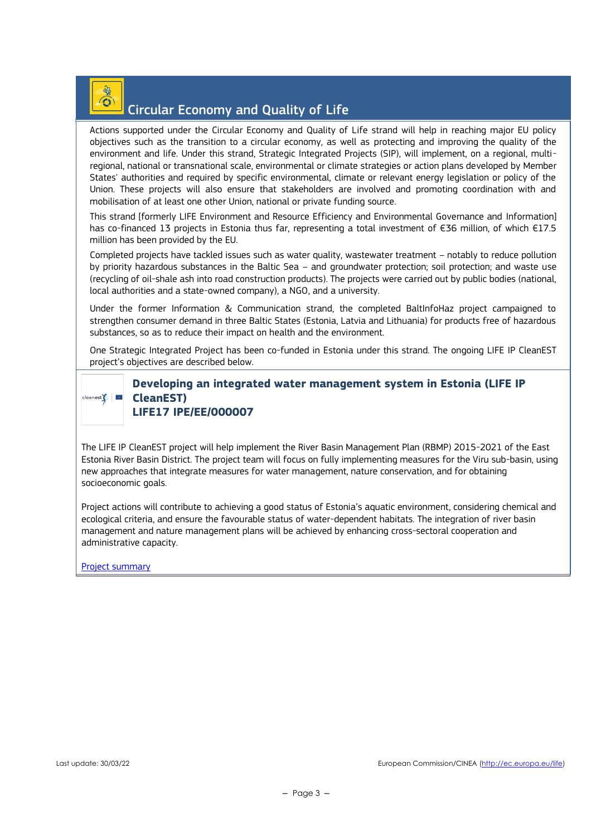# $\odot$

## Circular Economy and Quality of Life

Actions supported under the Circular Economy and Quality of Life strand will help in reaching major EU policy objectives such as the transition to a circular economy, as well as protecting and improving the quality of the environment and life. Under this strand, Strategic Integrated Projects (SIP), will implement, on a regional, multiregional, national or transnational scale, environmental or climate strategies or action plans developed by Member States' authorities and required by specific environmental, climate or relevant energy legislation or policy of the Union. These projects will also ensure that stakeholders are involved and promoting coordination with and mobilisation of at least one other Union, national or private funding source.

This strand [formerly LIFE Environment and Resource Efficiency and Environmental Governance and Information] has co-financed 13 projects in Estonia thus far, representing a total investment of €36 million, of which €17.5 million has been provided by the EU.

Completed projects have tackled issues such as water quality, wastewater treatment – notably to reduce pollution by priority hazardous substances in the Baltic Sea – and groundwater protection; soil protection; and waste use (recycling of oil-shale ash into road construction products). The projects were carried out by public bodies (national, local authorities and a state-owned company), a NGO, and a university.

Under the former Information & Communication strand, the completed BaltInfoHaz project campaigned to strengthen consumer demand in three Baltic States (Estonia, Latvia and Lithuania) for products free of hazardous substances, so as to reduce their impact on health and the environment.

One Strategic Integrated Project has been co-funded in Estonia under this strand. The ongoing LIFE IP CleanEST project's objectives are described below.

# $cleanest$

**Developing an integrated water management system in Estonia (LIFE IP CleanEST) LIFE17 IPE/EE/000007**

The LIFE IP CleanEST project will help implement the River Basin Management Plan (RBMP) 2015-2021 of the East Estonia River Basin District. The project team will focus on fully implementing measures for the Viru sub-basin, using new approaches that integrate measures for water management, nature conservation, and for obtaining socioeconomic goals.

Project actions will contribute to achieving a good status of Estonia's aquatic environment, considering chemical and ecological criteria, and ensure the favourable status of water-dependent habitats. The integration of river basin management and nature management plans will be achieved by enhancing cross-sectoral cooperation and administrative capacity.

[Project summary](https://webgate.ec.europa.eu/life/publicWebsite/project/details/5004)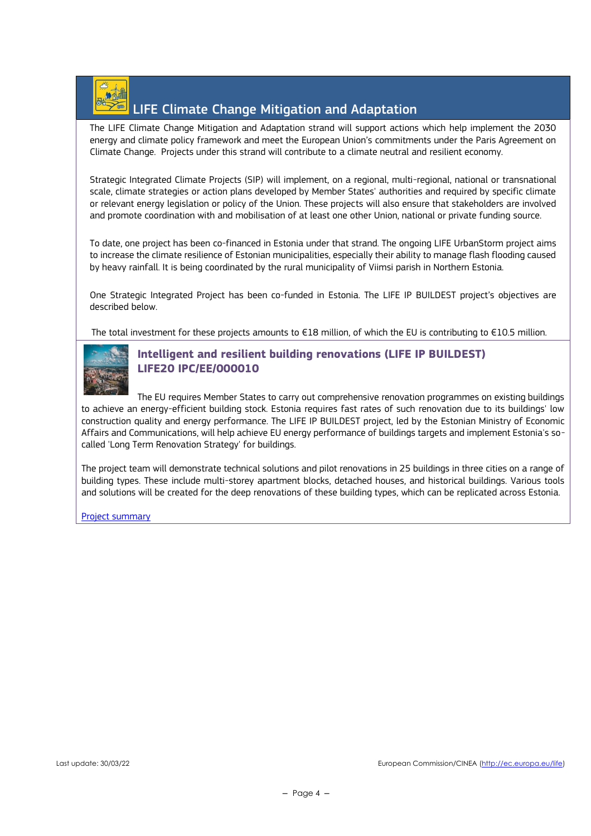

## LIFE Climate Change Mitigation and Adaptation

The LIFE Climate Change Mitigation and Adaptation strand will support actions which help implement the 2030 energy and climate policy framework and meet the European Union's commitments under the Paris Agreement on Climate Change. Projects under this strand will contribute to a climate neutral and resilient economy.

Strategic Integrated Climate Projects (SIP) will implement, on a regional, multi-regional, national or transnational scale, climate strategies or action plans developed by Member States' authorities and required by specific climate or relevant energy legislation or policy of the Union. These projects will also ensure that stakeholders are involved and promote coordination with and mobilisation of at least one other Union, national or private funding source.

To date, one project has been co-financed in Estonia under that strand. The ongoing LIFE UrbanStorm project aims to increase the climate resilience of Estonian municipalities, especially their ability to manage flash flooding caused by heavy rainfall. It is being coordinated by the rural municipality of Viimsi parish in Northern Estonia.

One Strategic Integrated Project has been co-funded in Estonia. The LIFE IP BUILDEST project's objectives are described below.

The total investment for these projects amounts to €18 million, of which the EU is contributing to €10.5 million.



#### **Intelligent and resilient building renovations (LIFE IP BUILDEST) LIFE20 IPC/EE/000010**

The EU requires Member States to carry out comprehensive renovation programmes on existing buildings to achieve an energy-efficient building stock. Estonia requires fast rates of such renovation due to its buildings' low construction quality and energy performance. The LIFE IP BUILDEST project, led by the Estonian Ministry of Economic Affairs and Communications, will help achieve EU energy performance of buildings targets and implement Estonia's socalled 'Long Term Renovation Strategy' for buildings.

The project team will demonstrate technical solutions and pilot renovations in 25 buildings in three cities on a range of building types. These include multi-storey apartment blocks, detached houses, and historical buildings. Various tools and solutions will be created for the deep renovations of these building types, which can be replicated across Estonia.

[Project summary](https://webgate.ec.europa.eu/life/publicWebsite/project/details/5815)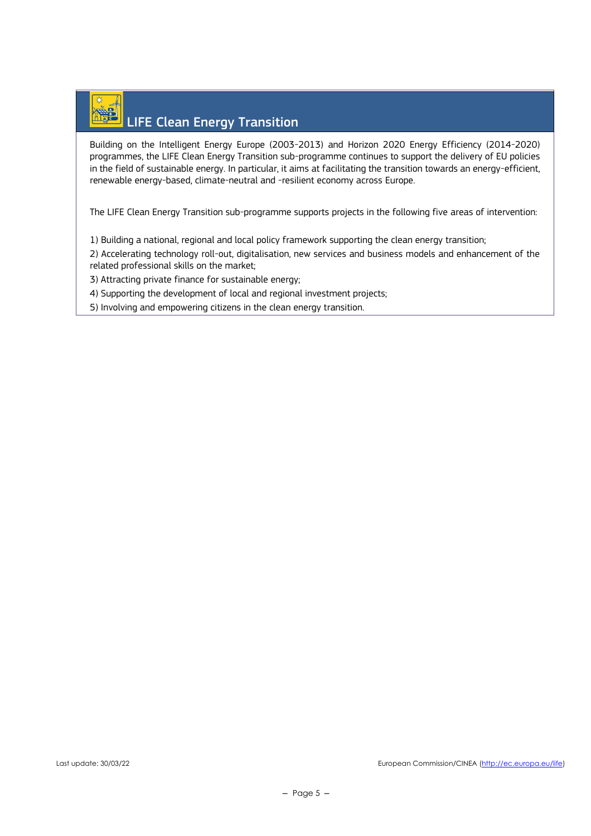# LIFE Clean Energy Transition

Building on the Intelligent Energy Europe (2003-2013) and Horizon 2020 Energy Efficiency (2014-2020) programmes, the LIFE Clean Energy Transition sub-programme continues to support the delivery of EU policies in the field of sustainable energy. In particular, it aims at facilitating the transition towards an energy-efficient, renewable energy-based, climate-neutral and -resilient economy across Europe.

The LIFE Clean Energy Transition sub-programme supports projects in the following five areas of intervention:

1) Building a national, regional and local policy framework supporting the clean energy transition;

2) Accelerating technology roll-out, digitalisation, new services and business models and enhancement of the related professional skills on the market;

3) Attracting private finance for sustainable energy;

4) Supporting the development of local and regional investment projects;

5) Involving and empowering citizens in the clean energy transition.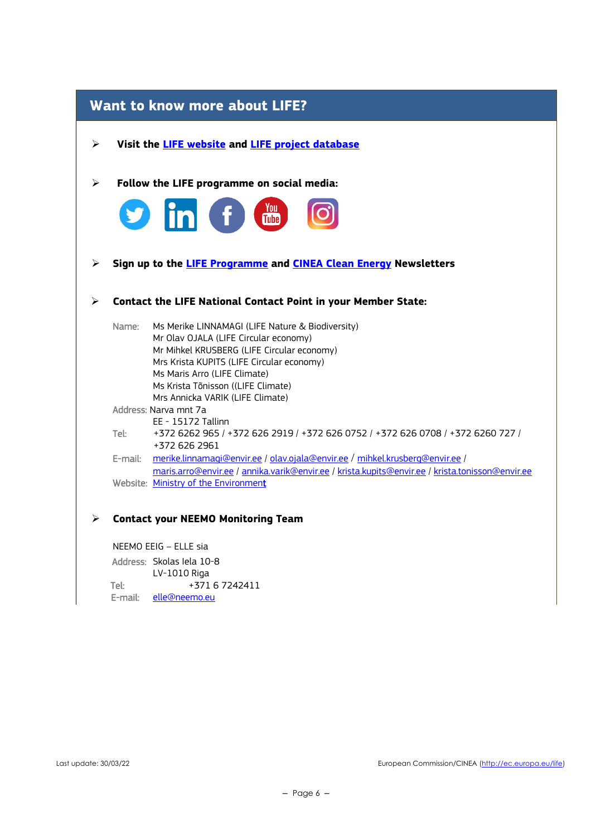|         | <b>Want to know more about LIFE?</b>                                                                                                                                                                                                                                                           |
|---------|------------------------------------------------------------------------------------------------------------------------------------------------------------------------------------------------------------------------------------------------------------------------------------------------|
| ➤       | Visit the <b>LIFE</b> website and <b>LIFE</b> project database                                                                                                                                                                                                                                 |
| ➤       | Follow the LIFE programme on social media:                                                                                                                                                                                                                                                     |
|         | in f t                                                                                                                                                                                                                                                                                         |
| ➤       | Sign up to the LIFE Programme and CINEA Clean Energy Newsletters                                                                                                                                                                                                                               |
| ≻       | <b>Contact the LIFE National Contact Point in your Member State:</b>                                                                                                                                                                                                                           |
| Name:   | Ms Merike LINNAMAGI (LIFE Nature & Biodiversity)<br>Mr Olav OJALA (LIFE Circular economy)<br>Mr Mihkel KRUSBERG (LIFE Circular economy)<br>Mrs Krista KUPITS (LIFE Circular economy)<br>Ms Maris Arro (LIFE Climate)<br>Ms Krista Tõnisson ((LIFE Climate)<br>Mrs Annicka VARIK (LIFE Climate) |
|         | Address: Narva mnt 7a                                                                                                                                                                                                                                                                          |
| Tel:    | EE - 15172 Tallinn<br>+372 6262 965 / +372 626 2919 / +372 626 0752 / +372 626 0708 / +372 6260 727 /<br>+372 626 2961                                                                                                                                                                         |
| E-mail: | merike.linnamagi@envir.ee / olav.ojala@envir.ee / mihkel.krusberg@envir.ee /<br>maris.arro@envir.ee / annika.varik@envir.ee / krista.kupits@envir.ee / krista.tonisson@envir.ee                                                                                                                |
|         | Website: Ministry of the Environment                                                                                                                                                                                                                                                           |
| ⋗       | <b>Contact your NEEMO Monitoring Team</b>                                                                                                                                                                                                                                                      |

NEEMO EEIG – ELLE sia Address: Skolas Iela 10-8 LV-1010 Riga Tel: +371 6 7242411 E-mail: [elle@neemo.eu](mailto:elle@neemo.eu)